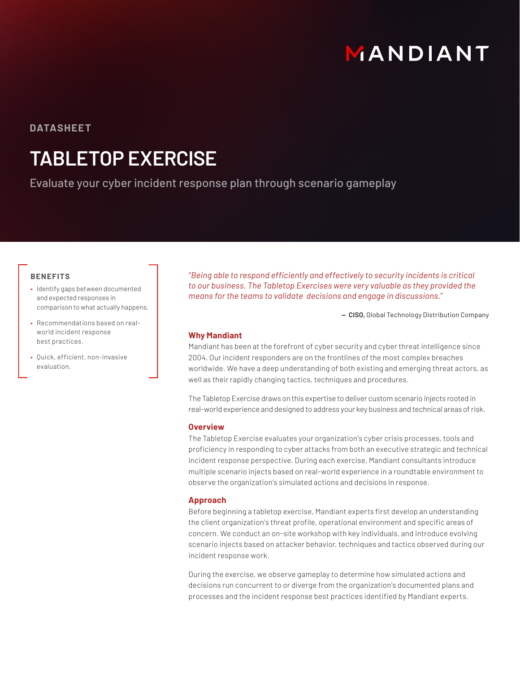

**DATASHEET**

# **TABLETOP EXERCISE**

Evaluate your cyber incident response plan through scenario gameplay

# **BENEFITS**

- Identify gaps between documented and expected responses in comparison to what actually happens.
- Recommendations based on realworld incident response best practices.
- Quick, efficient, non-invasive evaluation.

*"Being able to respond efficiently and effectively to security incidents is critical to our business. The Tabletop Exercises were very valuable as they provided the means for the teams to validate decisions and engage in discussions."*

**— CISO,** Global Technology Distribution Company

# **Why Mandiant**

Mandiant has been at the forefront of cyber security and cyber threat intelligence since 2004. Our incident responders are on the frontlines of the most complex breaches worldwide. We have a deep understanding of both existing and emerging threat actors, as well as their rapidly changing tactics, techniques and procedures.

The Tabletop Exercise draws on this expertise to deliver custom scenario injects rooted in real-world experience and designed to address your key business and technical areas of risk.

# **Overview**

The Tabletop Exercise evaluates your organization's cyber crisis processes, tools and proficiency in responding to cyber attacks from both an executive strategic and technical incident response perspective. During each exercise, Mandiant consultants introduce multiple scenario injects based on real-world experience in a roundtable environment to observe the organization's simulated actions and decisions in response.

#### **Approach**

Before beginning a tabletop exercise, Mandiant experts first develop an understanding the client organization's threat profile, operational environment and specific areas of concern. We conduct an on-site workshop with key individuals, and introduce evolving scenario injects based on attacker behavior, techniques and tactics observed during our incident response work.

During the exercise, we observe gameplay to determine how simulated actions and decisions run concurrent to or diverge from the organization's documented plans and processes and the incident response best practices identified by Mandiant experts.